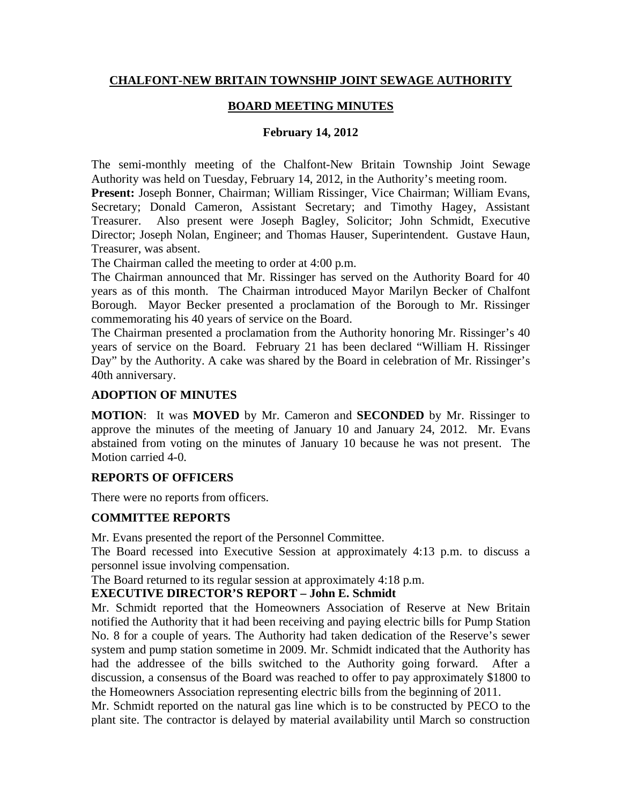# **CHALFONT-NEW BRITAIN TOWNSHIP JOINT SEWAGE AUTHORITY**

# **BOARD MEETING MINUTES**

### **February 14, 2012**

The semi-monthly meeting of the Chalfont-New Britain Township Joint Sewage Authority was held on Tuesday, February 14, 2012, in the Authority's meeting room.

**Present:** Joseph Bonner, Chairman; William Rissinger, Vice Chairman; William Evans, Secretary; Donald Cameron, Assistant Secretary; and Timothy Hagey, Assistant Treasurer. Also present were Joseph Bagley, Solicitor; John Schmidt, Executive Director; Joseph Nolan, Engineer; and Thomas Hauser, Superintendent. Gustave Haun, Treasurer, was absent.

The Chairman called the meeting to order at 4:00 p.m.

The Chairman announced that Mr. Rissinger has served on the Authority Board for 40 years as of this month. The Chairman introduced Mayor Marilyn Becker of Chalfont Borough. Mayor Becker presented a proclamation of the Borough to Mr. Rissinger commemorating his 40 years of service on the Board.

The Chairman presented a proclamation from the Authority honoring Mr. Rissinger's 40 years of service on the Board. February 21 has been declared "William H. Rissinger Day" by the Authority. A cake was shared by the Board in celebration of Mr. Rissinger's 40th anniversary.

### **ADOPTION OF MINUTES**

**MOTION**: It was **MOVED** by Mr. Cameron and **SECONDED** by Mr. Rissinger to approve the minutes of the meeting of January 10 and January 24, 2012. Mr. Evans abstained from voting on the minutes of January 10 because he was not present. The Motion carried 4-0.

### **REPORTS OF OFFICERS**

There were no reports from officers.

### **COMMITTEE REPORTS**

Mr. Evans presented the report of the Personnel Committee.

The Board recessed into Executive Session at approximately 4:13 p.m. to discuss a personnel issue involving compensation.

The Board returned to its regular session at approximately 4:18 p.m.

### **EXECUTIVE DIRECTOR'S REPORT – John E. Schmidt**

Mr. Schmidt reported that the Homeowners Association of Reserve at New Britain notified the Authority that it had been receiving and paying electric bills for Pump Station No. 8 for a couple of years. The Authority had taken dedication of the Reserve's sewer system and pump station sometime in 2009. Mr. Schmidt indicated that the Authority has had the addressee of the bills switched to the Authority going forward. After a discussion, a consensus of the Board was reached to offer to pay approximately \$1800 to the Homeowners Association representing electric bills from the beginning of 2011.

Mr. Schmidt reported on the natural gas line which is to be constructed by PECO to the plant site. The contractor is delayed by material availability until March so construction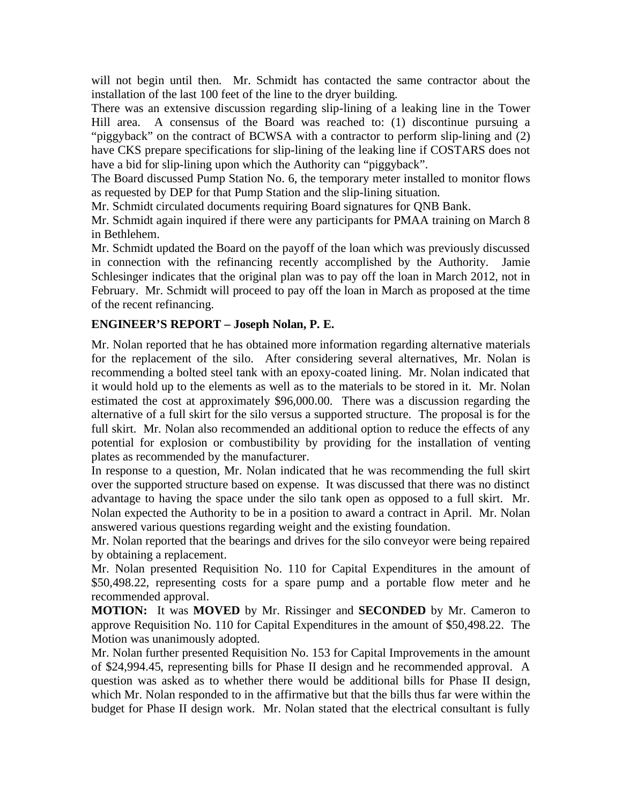will not begin until then. Mr. Schmidt has contacted the same contractor about the installation of the last 100 feet of the line to the dryer building.

There was an extensive discussion regarding slip-lining of a leaking line in the Tower Hill area. A consensus of the Board was reached to: (1) discontinue pursuing a "piggyback" on the contract of BCWSA with a contractor to perform slip-lining and (2) have CKS prepare specifications for slip-lining of the leaking line if COSTARS does not have a bid for slip-lining upon which the Authority can "piggyback".

The Board discussed Pump Station No. 6, the temporary meter installed to monitor flows as requested by DEP for that Pump Station and the slip-lining situation.

Mr. Schmidt circulated documents requiring Board signatures for QNB Bank.

Mr. Schmidt again inquired if there were any participants for PMAA training on March 8 in Bethlehem.

Mr. Schmidt updated the Board on the payoff of the loan which was previously discussed in connection with the refinancing recently accomplished by the Authority. Jamie Schlesinger indicates that the original plan was to pay off the loan in March 2012, not in February. Mr. Schmidt will proceed to pay off the loan in March as proposed at the time of the recent refinancing.

# **ENGINEER'S REPORT – Joseph Nolan, P. E.**

Mr. Nolan reported that he has obtained more information regarding alternative materials for the replacement of the silo. After considering several alternatives, Mr. Nolan is recommending a bolted steel tank with an epoxy-coated lining. Mr. Nolan indicated that it would hold up to the elements as well as to the materials to be stored in it. Mr. Nolan estimated the cost at approximately \$96,000.00. There was a discussion regarding the alternative of a full skirt for the silo versus a supported structure. The proposal is for the full skirt. Mr. Nolan also recommended an additional option to reduce the effects of any potential for explosion or combustibility by providing for the installation of venting plates as recommended by the manufacturer.

In response to a question, Mr. Nolan indicated that he was recommending the full skirt over the supported structure based on expense. It was discussed that there was no distinct advantage to having the space under the silo tank open as opposed to a full skirt. Mr. Nolan expected the Authority to be in a position to award a contract in April. Mr. Nolan answered various questions regarding weight and the existing foundation.

Mr. Nolan reported that the bearings and drives for the silo conveyor were being repaired by obtaining a replacement.

Mr. Nolan presented Requisition No. 110 for Capital Expenditures in the amount of \$50,498.22, representing costs for a spare pump and a portable flow meter and he recommended approval.

**MOTION:** It was **MOVED** by Mr. Rissinger and **SECONDED** by Mr. Cameron to approve Requisition No. 110 for Capital Expenditures in the amount of \$50,498.22. The Motion was unanimously adopted.

Mr. Nolan further presented Requisition No. 153 for Capital Improvements in the amount of \$24,994.45, representing bills for Phase II design and he recommended approval. A question was asked as to whether there would be additional bills for Phase II design, which Mr. Nolan responded to in the affirmative but that the bills thus far were within the budget for Phase II design work. Mr. Nolan stated that the electrical consultant is fully